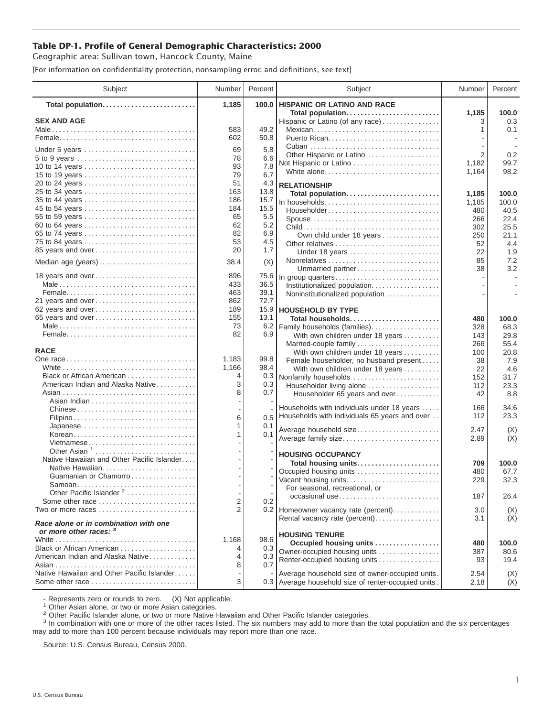## **Table DP-1. Profile of General Demographic Characteristics: 2000**

Geographic area: Sullivan town, Hancock County, Maine

[For information on confidentiality protection, nonsampling error, and definitions, see text]

| Subject                                                                    | Number                   | Percent    | Subject                                                                                         | Number     | Percent       |
|----------------------------------------------------------------------------|--------------------------|------------|-------------------------------------------------------------------------------------------------|------------|---------------|
| Total population                                                           | 1,185                    | 100.0      | <b>HISPANIC OR LATINO AND RACE</b>                                                              |            |               |
| <b>SEX AND AGE</b>                                                         |                          |            | Total population<br>Hispanic or Latino (of any race)                                            | 1,185<br>3 | 100.0<br>0.3  |
|                                                                            | 583                      | 49.2       | Mexican                                                                                         | 1          | 0.1           |
|                                                                            | 602                      | 50.8       |                                                                                                 |            |               |
| Under 5 years                                                              | 69                       | 5.8        |                                                                                                 |            |               |
|                                                                            | 78                       | 6.6        | Other Hispanic or Latino                                                                        | 2          | 0.2           |
| 10 to 14 years                                                             | 93                       | 7.8        | Not Hispanic or Latino                                                                          | 1,182      | 99.7          |
| 15 to 19 years                                                             | 79                       | 6.7        | White alone                                                                                     | 1,164      | 98.2          |
| 20 to 24 years                                                             | 51                       | 4.3        | <b>RELATIONSHIP</b>                                                                             |            |               |
| 25 to 34 years                                                             | 163                      | 13.8       | Total population                                                                                | 1,185      | 100.0         |
| 35 to 44 years                                                             | 186                      | 15.7       | In households                                                                                   | 1,185      | 100.0         |
| 45 to 54 years                                                             | 184                      | 15.5       | Householder                                                                                     | 480        | 40.5          |
| 55 to 59 years                                                             | 65                       | 5.5        | Spouse                                                                                          | 266        | 22.4          |
| 60 to 64 years                                                             | 62<br>82                 | 5.2<br>6.9 |                                                                                                 | 302        | 25.5          |
| 65 to 74 years<br>75 to 84 years                                           | 53                       | 4.5        | Own child under 18 years                                                                        | 250        | 21.1          |
| 85 years and over                                                          | 20                       | 1.7        | Other relatives                                                                                 | 52         | 4.4           |
|                                                                            |                          |            | Under 18 years                                                                                  | 22<br>85   | 1.9<br>7.2    |
| Median age (years)                                                         | 38.4                     | (X)        | Unmarried partner                                                                               | 38         | 3.2           |
| 18 years and over                                                          | 896                      | 75.6       | In group quarters                                                                               |            | $\sim$        |
|                                                                            | 433                      | 36.5       | Institutionalized population                                                                    |            |               |
|                                                                            | 463                      | 39.1       | Noninstitutionalized population                                                                 |            |               |
| 21 years and over                                                          | 862                      | 72.7       |                                                                                                 |            |               |
| 62 years and over                                                          | 189                      | 15.9       | <b>HOUSEHOLD BY TYPE</b>                                                                        |            |               |
| 65 years and over                                                          | 155                      | 13.1       | Total households                                                                                | 480        | 100.0         |
|                                                                            | 73                       | 6.2        | Family households (families)                                                                    | 328        | 68.3          |
|                                                                            | 82                       | 6.9        | With own children under 18 years                                                                | 143        | 29.8          |
| <b>RACE</b>                                                                |                          |            | Married-couple family                                                                           | 266        | 55.4<br>20.8  |
|                                                                            | 1,183                    | 99.8       | With own children under 18 years<br>Female householder, no husband present                      | 100<br>38  | 7.9           |
|                                                                            | 1,166                    | 98.4       | With own children under 18 years                                                                | 22         | 4.6           |
| Black or African American                                                  | 4                        | 0.3        | Nonfamily households                                                                            | 152        | 31.7          |
| American Indian and Alaska Native                                          | 3                        | 0.3        | Householder living alone                                                                        | 112        | 23.3          |
|                                                                            | 8                        | 0.7        | Householder 65 years and over                                                                   | 42         | 8.8           |
|                                                                            |                          |            |                                                                                                 |            |               |
| Chinese                                                                    |                          |            | Households with individuals under 18 years<br>0.5 Households with individuals 65 years and over | 166<br>112 | 34.6<br>23.3  |
|                                                                            | 6                        |            |                                                                                                 |            |               |
| Japanese<br>Korean                                                         | 1<br>1                   | 0.1<br>0.1 | Average household size                                                                          | 2.47       | (X)           |
| Vietnamese                                                                 |                          |            | Average family size                                                                             | 2.89       | (X)           |
| Other Asian <sup>1</sup>                                                   |                          |            |                                                                                                 |            |               |
| Native Hawaiian and Other Pacific Islander                                 |                          |            | <b>HOUSING OCCUPANCY</b>                                                                        |            |               |
| Native Hawaiian                                                            |                          |            | Total housing units<br>Occupied housing units                                                   | 709<br>480 | 100.0<br>67.7 |
| Guamanian or Chamorro                                                      |                          |            | Vacant housing units                                                                            | 229        | 32.3          |
|                                                                            |                          |            | For seasonal, recreational, or                                                                  |            |               |
| Other Pacific Islander <sup>2</sup>                                        | $\overline{\phantom{a}}$ |            | occasional use                                                                                  | 187        | 26.4          |
| Some other race                                                            | 2                        | 0.2        |                                                                                                 |            |               |
| Two or more races $\ldots, \ldots, \ldots, \ldots, \ldots, \ldots, \ldots$ | 2                        |            | 0.2 Homeowner vacancy rate (percent)                                                            | 3.0        | (X)           |
| Race alone or in combination with one<br>or more other races: 3            |                          |            | Rental vacancy rate (percent)                                                                   | 3.1        | (X)           |
|                                                                            | 1,168                    | 98.6       | <b>HOUSING TENURE</b>                                                                           |            |               |
| Black or African American                                                  | 4                        | 0.3        | Occupied housing units                                                                          | 480<br>387 | 100.0<br>80.6 |
| American Indian and Alaska Native                                          | 4                        | 0.3        | Owner-occupied housing units<br>Renter-occupied housing units                                   | 93         | 19.4          |
|                                                                            | 8                        | 0.7        |                                                                                                 |            |               |
| Native Hawaiian and Other Pacific Islander                                 |                          |            | Average household size of owner-occupied units.                                                 | 2.54       | (X)           |
| Some other race                                                            | 3                        |            | 0.3 Average household size of renter-occupied units.                                            | 2.18       | (X)           |

- Represents zero or rounds to zero. (X) Not applicable.<br><sup>1</sup> Other Asian alone, or two or more Asian categories.

<sup>2</sup> Other Pacific Islander alone, or two or more Native Hawaiian and Other Pacific Islander categories.<br><sup>3</sup> In combination with one or more of the other races listed. The six numbers may add to more than the total populati may add to more than 100 percent because individuals may report more than one race.

Source: U.S. Census Bureau, Census 2000.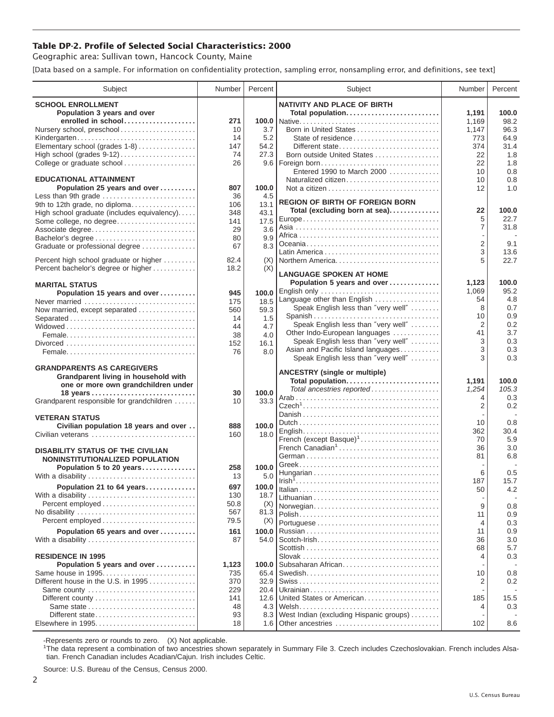## **Table DP-2. Profile of Selected Social Characteristics: 2000**

Geographic area: Sullivan town, Hancock County, Maine

[Data based on a sample. For information on confidentiality protection, sampling error, nonsampling error, and definitions, see text]

| Subject                                       | Number     | Percent      | Subject                                                                 | Number         | Percent    |
|-----------------------------------------------|------------|--------------|-------------------------------------------------------------------------|----------------|------------|
| <b>SCHOOL ENROLLMENT</b>                      |            |              | <b>NATIVITY AND PLACE OF BIRTH</b>                                      |                |            |
| Population 3 years and over                   |            |              | Total population                                                        | 1,191          | 100.0      |
| enrolled in school                            | 271        |              |                                                                         | 1,169          | 98.2       |
| Nursery school, preschool                     | 10         | 3.7          | Born in United States                                                   | 1,147          | 96.3       |
| Kindergarten                                  | 14         | 5.2          | State of residence                                                      | 773            | 64.9       |
| Elementary school (grades 1-8)                | 147        | 54.2         | Different state                                                         | 374            | 31.4       |
| College or graduate school                    | 74<br>26   | 27.3         | Born outside United States<br>9.6   Foreign born                        | 22<br>22       | 1.8<br>1.8 |
|                                               |            |              | Entered 1990 to March 2000                                              | 10             | 0.8        |
| <b>EDUCATIONAL ATTAINMENT</b>                 |            |              | Naturalized citizen                                                     | 10             | 0.8        |
| Population 25 years and over                  | 807        | 100.0        |                                                                         | 12             | 1.0        |
| Less than 9th grade                           | 36         | 4.5          |                                                                         |                |            |
| 9th to 12th grade, no diploma                 | 106        | 13.1         | <b>REGION OF BIRTH OF FOREIGN BORN</b><br>Total (excluding born at sea) | 22             | 100.0      |
| High school graduate (includes equivalency)   | 348        | 43.1         |                                                                         | 5              | 22.7       |
| Some college, no degree                       | 141<br>29  | 17.5<br>3.6  |                                                                         | $\overline{7}$ | 31.8       |
| Associate degree                              | 80         | 9.9          |                                                                         |                |            |
| Graduate or professional degree               | 67         | 8.3          |                                                                         | $\overline{2}$ | 9.1        |
|                                               |            |              |                                                                         | 3              | 13.6       |
| Percent high school graduate or higher        | 82.4       | (X)          | Northern America                                                        | 5              | 22.7       |
| Percent bachelor's degree or higher           | 18.2       | (X)          | <b>LANGUAGE SPOKEN AT HOME</b>                                          |                |            |
| <b>MARITAL STATUS</b>                         |            |              | Population 5 years and over                                             | 1,123          | 100.0      |
| Population 15 years and over                  | 945        | 100.0        | English only                                                            | 1,069          | 95.2       |
| Never married                                 | 175        | 18.5         | Language other than English                                             | 54             | 4.8        |
| Now married, except separated                 | 560        | 59.3         | Speak English less than "very well"                                     | 8              | 0.7        |
| Separated                                     | 14         | 1.5          | Spanish                                                                 | 10             | 0.9        |
|                                               | 44         | 4.7          | Speak English less than "very well"<br>Other Indo-European languages    | 2<br>41        | 0.2<br>3.7 |
|                                               | 38         | 4.0          | Speak English less than "very well"                                     | 3              | 0.3        |
|                                               | 152<br>76  | 16.1<br>8.0  | Asian and Pacific Island languages                                      | 3              | 0.3        |
|                                               |            |              | Speak English less than "very well"                                     | 3              | 0.3        |
| <b>GRANDPARENTS AS CAREGIVERS</b>             |            |              |                                                                         |                |            |
| Grandparent living in household with          |            |              | <b>ANCESTRY (single or multiple)</b>                                    | 1,191          | 100.0      |
| one or more own grandchildren under           |            |              | Total population<br>Total ancestries reported                           | 1,254          | 105.3      |
|                                               | 30         | 100.0        |                                                                         | 4              | 0.3        |
| Grandparent responsible for grandchildren     | 10         | 33.3         |                                                                         | 2              | 0.2        |
| <b>VETERAN STATUS</b>                         |            |              |                                                                         |                |            |
| Civilian population 18 years and over         | 888        | 100.0        |                                                                         | 10             | 0.8        |
| Civilian veterans                             | 160        | 18.0         |                                                                         | 362            | 30.4       |
|                                               |            |              | French (except Basque) <sup>1</sup><br>French Canadian <sup>1</sup>     | 70<br>36       | 5.9<br>3.0 |
| <b>DISABILITY STATUS OF THE CIVILIAN</b>      |            |              |                                                                         | 81             | 6.8        |
| NONINSTITUTIONALIZED POPULATION               |            |              |                                                                         |                |            |
| Population 5 to 20 years<br>With a disability | 258<br>13  | 100.0<br>5.0 |                                                                         | 6              | 0.5        |
|                                               |            |              |                                                                         | 187            | 15.7       |
| Population 21 to 64 years                     | 697<br>130 | 100.0        |                                                                         | 50             | 4.2        |
| With a disability                             | 50.8       | 18.7<br>(X)  |                                                                         |                |            |
|                                               | 567        | 81.3         | Norwegian                                                               | 9              | 0.8<br>0.9 |
|                                               | 79.5       | (X)          |                                                                         | 11<br>4        | 0.3        |
| Population 65 years and over                  | 161        | 100.0        |                                                                         | 11             | 0.9        |
| With a disability                             | 87         | 54.0         |                                                                         | 36             | 3.0        |
|                                               |            |              |                                                                         | 68             | 5.7        |
| <b>RESIDENCE IN 1995</b>                      |            |              |                                                                         | 4              | 0.3        |
| Population 5 years and over                   | 1,123      | 100.0        | Subsaharan African                                                      |                |            |
| Same house in 1995                            | 735        | 65.4         |                                                                         | 10             | 0.8        |
| Different house in the U.S. in 1995           | 370<br>229 | 32.9<br>20.4 |                                                                         | 2              | 0.2        |
| Same county                                   | 141        | 12.6         | United States or American                                               | 185            | 15.5       |
|                                               | 48         | 4.3          |                                                                         | 4              | 0.3        |
| Different state                               | 93         | 8.3          | West Indian (excluding Hispanic groups)                                 |                |            |
|                                               | 18         |              |                                                                         | 102            | 8.6        |
|                                               |            |              |                                                                         |                |            |

-Represents zero or rounds to zero. (X) Not applicable. 1 The data represent a combination of two ancestries shown separately in Summary File 3. Czech includes Czechoslovakian. French includes Alsatian. French Canadian includes Acadian/Cajun. Irish includes Celtic.

Source: U.S. Bureau of the Census, Census 2000.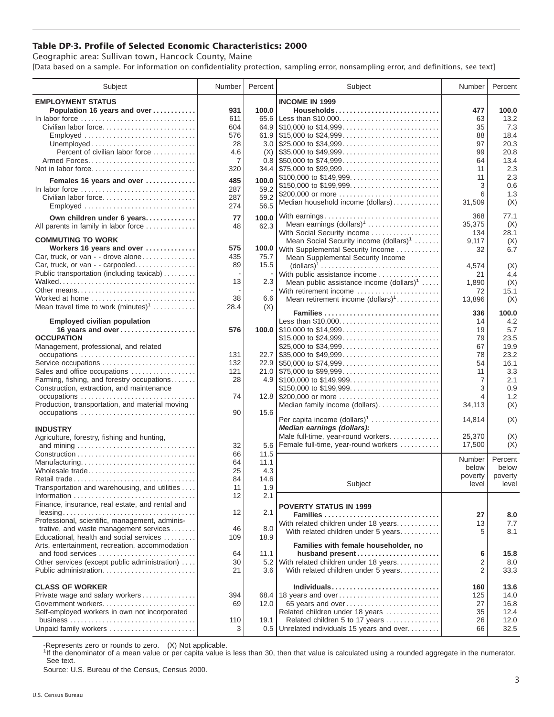## **Table DP-3. Profile of Selected Economic Characteristics: 2000**

Geographic area: Sullivan town, Hancock County, Maine [Data based on a sample. For information on confidentiality protection, sampling error, nonsampling error, and definitions, see text]

| Subject                                                                         | Number   | Percent     | Subject                                                                                | Number         | Percent      |
|---------------------------------------------------------------------------------|----------|-------------|----------------------------------------------------------------------------------------|----------------|--------------|
| <b>EMPLOYMENT STATUS</b>                                                        |          |             | <b>INCOME IN 1999</b>                                                                  |                |              |
| Population 16 years and over                                                    | 931      | 100.0       | Households                                                                             | 477            | 100.0        |
|                                                                                 | 611      |             | 65.6 Less than \$10,000                                                                | 63             | 13.2         |
| Civilian labor force                                                            | 604      |             |                                                                                        | 35             | 7.3          |
|                                                                                 | 576      |             |                                                                                        | 88             | 18.4         |
| Employed                                                                        | 28       |             |                                                                                        | 97             | 20.3         |
|                                                                                 |          |             |                                                                                        |                |              |
| Percent of civilian labor force                                                 | 4.6<br>7 |             |                                                                                        | 99<br>64       | 20.8<br>13.4 |
|                                                                                 | 320      |             |                                                                                        | 11             | 2.3          |
| Not in labor force                                                              |          |             | \$100,000 to \$149,999                                                                 | 11             | 2.3          |
| Females 16 years and over                                                       | 485      | 100.0       | \$150,000 to \$199,999                                                                 | 3              | 0.6          |
| In labor force $\ldots, \ldots, \ldots, \ldots, \ldots, \ldots, \ldots, \ldots$ | 287      | 59.2        | \$200,000 or more                                                                      | 6              | 1.3          |
| Civilian labor force                                                            | 287      | 59.2        | Median household income (dollars)                                                      | 31,509         | (X)          |
| $Emploved \dots \dots \dots \dots \dots \dots \dots \dots \dots \dots \dots$    | 274      | 56.5        |                                                                                        |                |              |
| Own children under 6 years                                                      | 77       | 100.0       | With earnings                                                                          | 368            | 77.1         |
| All parents in family in labor force                                            | 48       | 62.3        | Mean earnings $(dollars)1$                                                             | 35,375         | (X)          |
|                                                                                 |          |             | With Social Security income                                                            | 134            | 28.1         |
| <b>COMMUTING TO WORK</b>                                                        |          |             | Mean Social Security income $(dollars)^1$                                              | 9,117          | (X)          |
| Workers 16 years and over                                                       | 575      |             | 100.0 With Supplemental Security Income                                                | 32             | 6.7          |
| Car, truck, or van - - drove alone                                              | 435      | 75.7        | Mean Supplemental Security Income                                                      |                |              |
| Car, truck, or van - - carpooled                                                | 89       | 15.5        | $\text{(dollars)}^1 \dots \dots \dots \dots \dots \dots \dots \dots \dots \dots \dots$ | 4,574          | (X)          |
| Public transportation (including taxicab)                                       |          |             | With public assistance income                                                          | 21             | 4.4          |
|                                                                                 | 13       | 2.3         | Mean public assistance income $(dollars)1 \ldots$ .                                    | 1,890          | (X)          |
| Other means                                                                     |          |             | With retirement income                                                                 | 72             | 15.1         |
| Worked at home                                                                  | 38       | 6.6         | Mean retirement income $(dollars)1$                                                    | 13,896         | (X)          |
| Mean travel time to work $(minutes)^1$                                          | 28.4     | (X)         | Families                                                                               | 336            | 100.0        |
| <b>Employed civilian population</b>                                             |          |             | Less than \$10,000                                                                     | 14             | 4.2          |
| 16 years and over                                                               | 576      |             |                                                                                        | 19             | 5.7          |
| <b>OCCUPATION</b>                                                               |          |             | \$15,000 to \$24,999                                                                   | 79             | 23.5         |
| Management, professional, and related                                           |          |             | \$25,000 to \$34,999                                                                   | 67             | 19.9         |
|                                                                                 | 131      |             |                                                                                        | 78             | 23.2         |
| Service occupations                                                             | 132      |             |                                                                                        | 54             | 16.1         |
| Sales and office occupations                                                    | 121      |             |                                                                                        | 11             | 3.3          |
| Farming, fishing, and forestry occupations                                      | 28       |             |                                                                                        | 7              | 2.1          |
| Construction, extraction, and maintenance                                       |          |             | \$150,000 to \$199,999                                                                 | 3              | 0.9          |
|                                                                                 | 74       |             |                                                                                        | 4              | 1.2          |
| Production, transportation, and material moving                                 |          |             | Median family income (dollars)                                                         | 34,113         | (X)          |
| occupations                                                                     | 90       | 15.6        |                                                                                        |                |              |
|                                                                                 |          |             | Per capita income (dollars) <sup>1</sup>                                               | 14,814         | (X)          |
| <b>INDUSTRY</b>                                                                 |          |             | Median earnings (dollars):                                                             |                |              |
| Agriculture, forestry, fishing and hunting,                                     |          |             | Male full-time, year-round workers                                                     | 25,370         | (X)          |
|                                                                                 | 32       |             | 5.6 Female full-time, year-round workers                                               | 17,500         | (X)          |
|                                                                                 | 66       | 11.5        |                                                                                        | Number         | Percent      |
| Manufacturing<br>Wholesale trade                                                | 64<br>25 | 11.1<br>4.3 |                                                                                        | below          | below        |
| Retail trade                                                                    | 84       | 14.6        |                                                                                        | poverty        | poverty      |
| Transportation and warehousing, and utilities                                   | 11       | 1.9         | Subject                                                                                | level          | level        |
|                                                                                 | 12       | 2.1         |                                                                                        |                |              |
| Finance, insurance, real estate, and rental and                                 |          |             |                                                                                        |                |              |
|                                                                                 | 12       | 2.1         | <b>POVERTY STATUS IN 1999</b>                                                          |                |              |
| Professional, scientific, management, adminis-                                  |          |             | Families                                                                               | 27             | 8.0          |
| trative, and waste management services                                          | 46       | 8.0         | With related children under 18 years                                                   | 13             | 7.7          |
| Educational, health and social services                                         | 109      | 18.9        | With related children under 5 years                                                    | 5              | 8.1          |
| Arts, entertainment, recreation, accommodation                                  |          |             | Families with female householder, no                                                   |                |              |
| and food services                                                               | 64       | 11.1        | husband present                                                                        | 6              | 15.8         |
| Other services (except public administration)                                   | 30       | 5.2         | With related children under 18 years                                                   | 2              | 8.0          |
| Public administration                                                           | 21       | 3.6         | With related children under 5 years                                                    | $\overline{2}$ | 33.3         |
|                                                                                 |          |             |                                                                                        |                |              |
| <b>CLASS OF WORKER</b>                                                          |          |             | Individuals                                                                            | 160            | 13.6         |
| Private wage and salary workers                                                 | 394      |             | 68.4 18 years and over                                                                 | 125            | 14.0         |
| Government workers                                                              | 69       | 12.0        | 65 years and over                                                                      | 27             | 16.8         |
| Self-employed workers in own not incorporated                                   |          |             | Related children under 18 years                                                        | 35             | 12.4         |
|                                                                                 | 110      | 19.1        | Related children 5 to 17 years                                                         | 26             | 12.0         |
| Unpaid family workers                                                           | 3        |             | 0.5 Unrelated individuals 15 years and over                                            | 66             | 32.5         |

-Represents zero or rounds to zero. (X) Not applicable.

<sup>1</sup>If the denominator of a mean value or per capita value is less than 30, then that value is calculated using a rounded aggregate in the numerator. See text.

Source: U.S. Bureau of the Census, Census 2000.